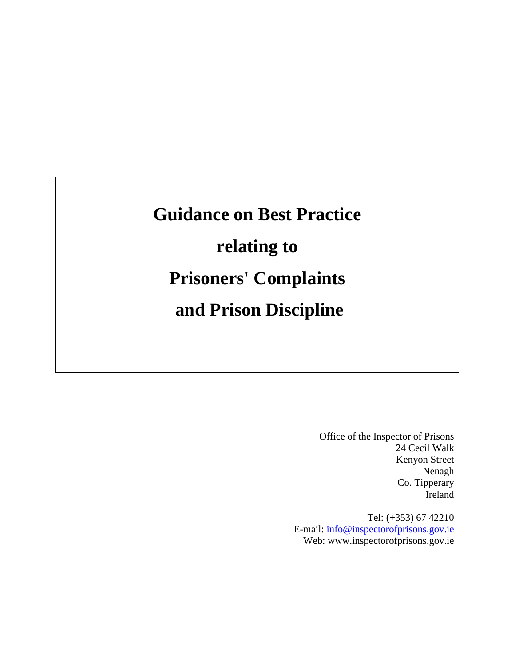# **Guidance on Best Practice relating to Prisoners' Complaints and Prison Discipline**

Office of the Inspector of Prisons 24 Cecil Walk Kenyon Street Nenagh Co. Tipperary Ireland

Tel: (+353) 67 42210 E-mail: [info@inspectorofprisons.gov.ie](mailto:info@inspectorofprisons.gov.ie) Web: www.inspectorofprisons.gov.ie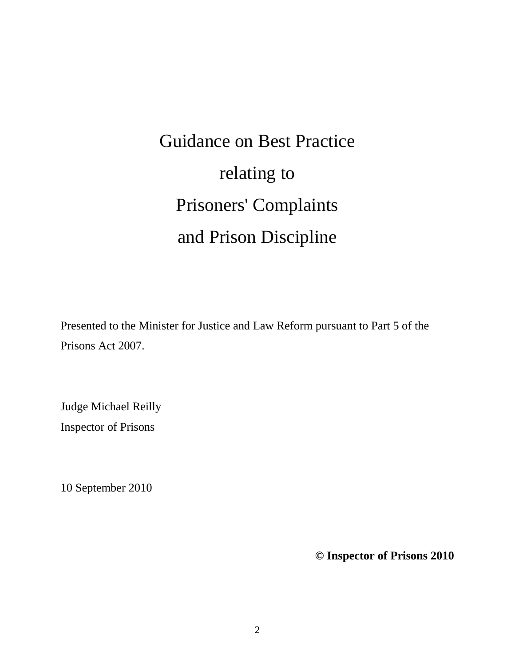Guidance on Best Practice relating to Prisoners' Complaints and Prison Discipline

Presented to the Minister for Justice and Law Reform pursuant to Part 5 of the Prisons Act 2007.

Judge Michael Reilly Inspector of Prisons

10 September 2010

**© Inspector of Prisons 2010**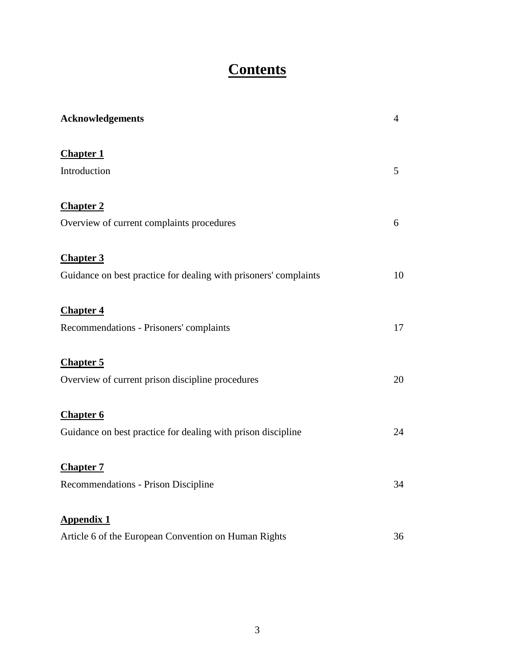# **Contents**

| <b>Acknowledgements</b>                                          | $\overline{4}$ |
|------------------------------------------------------------------|----------------|
| <b>Chapter 1</b>                                                 |                |
| Introduction                                                     | 5              |
| <b>Chapter 2</b>                                                 |                |
| Overview of current complaints procedures                        | 6              |
| <b>Chapter 3</b>                                                 |                |
| Guidance on best practice for dealing with prisoners' complaints | 10             |
| <b>Chapter 4</b>                                                 |                |
| Recommendations - Prisoners' complaints                          | 17             |
| <b>Chapter 5</b>                                                 |                |
| Overview of current prison discipline procedures                 | 20             |
| <b>Chapter 6</b>                                                 |                |
| Guidance on best practice for dealing with prison discipline     | 24             |
| <b>Chapter 7</b>                                                 |                |
| Recommendations - Prison Discipline                              | 34             |
| <b>Appendix 1</b>                                                |                |
| Article 6 of the European Convention on Human Rights             | 36             |
|                                                                  |                |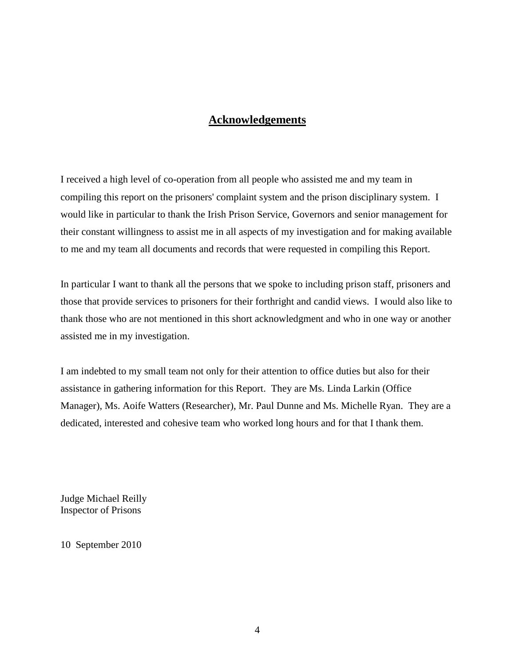# **Acknowledgements**

I received a high level of co-operation from all people who assisted me and my team in compiling this report on the prisoners' complaint system and the prison disciplinary system. I would like in particular to thank the Irish Prison Service, Governors and senior management for their constant willingness to assist me in all aspects of my investigation and for making available to me and my team all documents and records that were requested in compiling this Report.

In particular I want to thank all the persons that we spoke to including prison staff, prisoners and those that provide services to prisoners for their forthright and candid views. I would also like to thank those who are not mentioned in this short acknowledgment and who in one way or another assisted me in my investigation.

I am indebted to my small team not only for their attention to office duties but also for their assistance in gathering information for this Report. They are Ms. Linda Larkin (Office Manager), Ms. Aoife Watters (Researcher), Mr. Paul Dunne and Ms. Michelle Ryan. They are a dedicated, interested and cohesive team who worked long hours and for that I thank them.

Judge Michael Reilly Inspector of Prisons

10 September 2010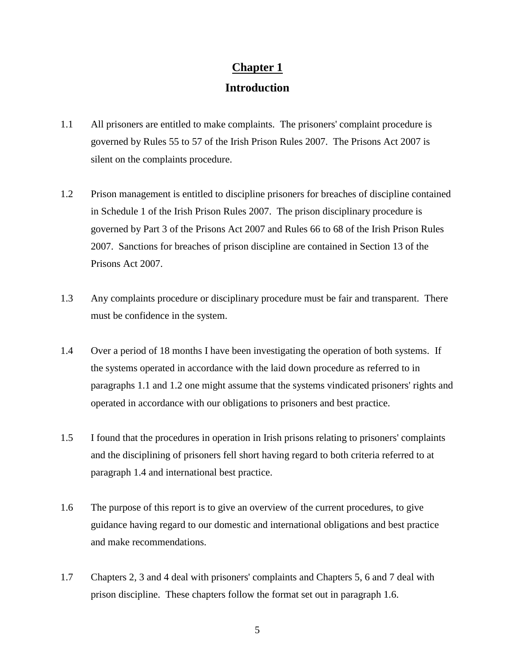# **Chapter 1 Introduction**

- 1.1 All prisoners are entitled to make complaints. The prisoners' complaint procedure is governed by Rules 55 to 57 of the Irish Prison Rules 2007. The Prisons Act 2007 is silent on the complaints procedure.
- 1.2 Prison management is entitled to discipline prisoners for breaches of discipline contained in Schedule 1 of the Irish Prison Rules 2007. The prison disciplinary procedure is governed by Part 3 of the Prisons Act 2007 and Rules 66 to 68 of the Irish Prison Rules 2007. Sanctions for breaches of prison discipline are contained in Section 13 of the Prisons Act 2007.
- 1.3 Any complaints procedure or disciplinary procedure must be fair and transparent. There must be confidence in the system.
- 1.4 Over a period of 18 months I have been investigating the operation of both systems. If the systems operated in accordance with the laid down procedure as referred to in paragraphs 1.1 and 1.2 one might assume that the systems vindicated prisoners' rights and operated in accordance with our obligations to prisoners and best practice.
- 1.5 I found that the procedures in operation in Irish prisons relating to prisoners' complaints and the disciplining of prisoners fell short having regard to both criteria referred to at paragraph 1.4 and international best practice.
- 1.6 The purpose of this report is to give an overview of the current procedures, to give guidance having regard to our domestic and international obligations and best practice and make recommendations.
- 1.7 Chapters 2, 3 and 4 deal with prisoners' complaints and Chapters 5, 6 and 7 deal with prison discipline. These chapters follow the format set out in paragraph 1.6.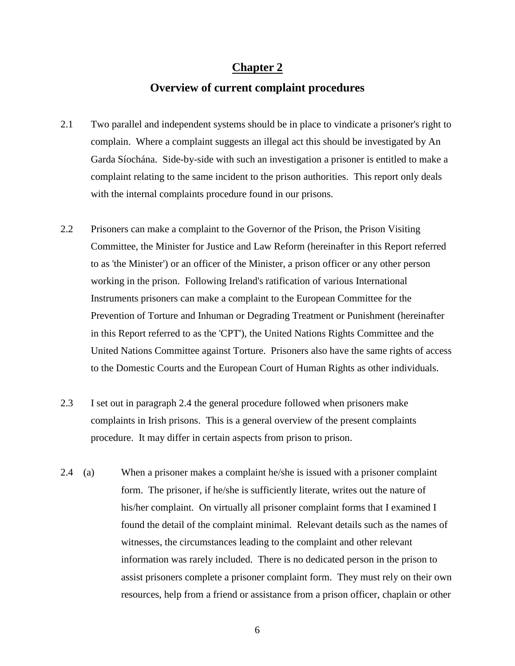# **Chapter 2**

### **Overview of current complaint procedures**

- 2.1 Two parallel and independent systems should be in place to vindicate a prisoner's right to complain. Where a complaint suggests an illegal act this should be investigated by An Garda Síochána. Side-by-side with such an investigation a prisoner is entitled to make a complaint relating to the same incident to the prison authorities. This report only deals with the internal complaints procedure found in our prisons.
- 2.2 Prisoners can make a complaint to the Governor of the Prison, the Prison Visiting Committee, the Minister for Justice and Law Reform (hereinafter in this Report referred to as 'the Minister') or an officer of the Minister, a prison officer or any other person working in the prison. Following Ireland's ratification of various International Instruments prisoners can make a complaint to the European Committee for the Prevention of Torture and Inhuman or Degrading Treatment or Punishment (hereinafter in this Report referred to as the 'CPT'), the United Nations Rights Committee and the United Nations Committee against Torture. Prisoners also have the same rights of access to the Domestic Courts and the European Court of Human Rights as other individuals.
- 2.3 I set out in paragraph 2.4 the general procedure followed when prisoners make complaints in Irish prisons. This is a general overview of the present complaints procedure. It may differ in certain aspects from prison to prison.
- 2.4 (a) When a prisoner makes a complaint he/she is issued with a prisoner complaint form. The prisoner, if he/she is sufficiently literate, writes out the nature of his/her complaint. On virtually all prisoner complaint forms that I examined I found the detail of the complaint minimal. Relevant details such as the names of witnesses, the circumstances leading to the complaint and other relevant information was rarely included. There is no dedicated person in the prison to assist prisoners complete a prisoner complaint form. They must rely on their own resources, help from a friend or assistance from a prison officer, chaplain or other

6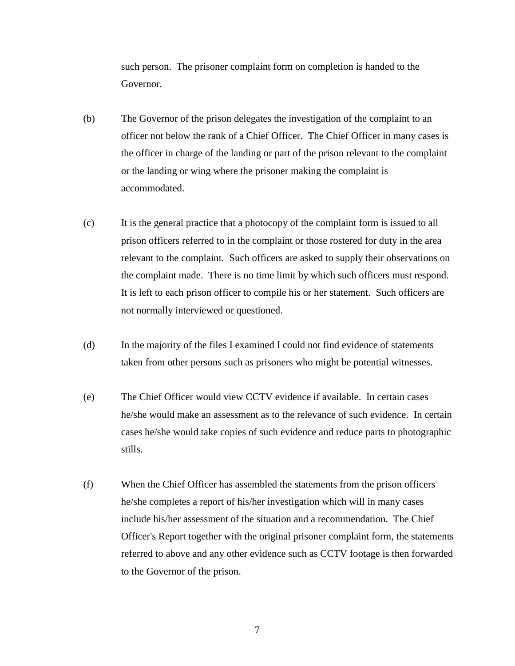such person. The prisoner complaint form on completion is handed to the Governor.

- (b) The Governor of the prison delegates the investigation of the complaint to an officer not below the rank of a Chief Officer. The Chief Officer in many cases is the officer in charge of the landing or part of the prison relevant to the complaint or the landing or wing where the prisoner making the complaint is accommodated.
- (c) It is the general practice that a photocopy of the complaint form is issued to all prison officers referred to in the complaint or those rostered for duty in the area relevant to the complaint. Such officers are asked to supply their observations on the complaint made. There is no time limit by which such officers must respond. It is left to each prison officer to compile his or her statement. Such officers are not normally interviewed or questioned.
- (d) In the majority of the files I examined I could not find evidence of statements taken from other persons such as prisoners who might be potential witnesses.
- (e) The Chief Officer would view CCTV evidence if available. In certain cases he/she would make an assessment as to the relevance of such evidence. In certain cases he/she would take copies of such evidence and reduce parts to photographic stills.
- (f) When the Chief Officer has assembled the statements from the prison officers he/she completes a report of his/her investigation which will in many cases include his/her assessment of the situation and a recommendation. The Chief Officer's Report together with the original prisoner complaint form, the statements referred to above and any other evidence such as CCTV footage is then forwarded to the Governor of the prison.

7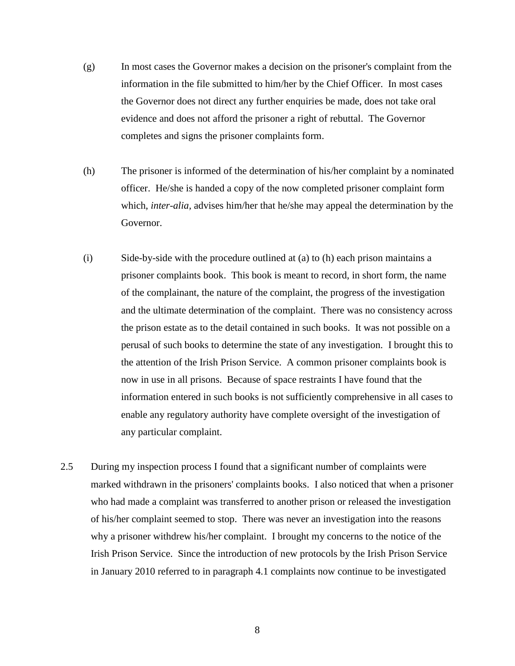- (g) In most cases the Governor makes a decision on the prisoner's complaint from the information in the file submitted to him/her by the Chief Officer. In most cases the Governor does not direct any further enquiries be made, does not take oral evidence and does not afford the prisoner a right of rebuttal. The Governor completes and signs the prisoner complaints form.
- (h) The prisoner is informed of the determination of his/her complaint by a nominated officer. He/she is handed a copy of the now completed prisoner complaint form which, *inter-alia,* advises him/her that he/she may appeal the determination by the Governor.
- (i) Side-by-side with the procedure outlined at (a) to (h) each prison maintains a prisoner complaints book. This book is meant to record, in short form, the name of the complainant, the nature of the complaint, the progress of the investigation and the ultimate determination of the complaint. There was no consistency across the prison estate as to the detail contained in such books. It was not possible on a perusal of such books to determine the state of any investigation. I brought this to the attention of the Irish Prison Service. A common prisoner complaints book is now in use in all prisons. Because of space restraints I have found that the information entered in such books is not sufficiently comprehensive in all cases to enable any regulatory authority have complete oversight of the investigation of any particular complaint.
- 2.5 During my inspection process I found that a significant number of complaints were marked withdrawn in the prisoners' complaints books. I also noticed that when a prisoner who had made a complaint was transferred to another prison or released the investigation of his/her complaint seemed to stop. There was never an investigation into the reasons why a prisoner withdrew his/her complaint. I brought my concerns to the notice of the Irish Prison Service. Since the introduction of new protocols by the Irish Prison Service in January 2010 referred to in paragraph 4.1 complaints now continue to be investigated

8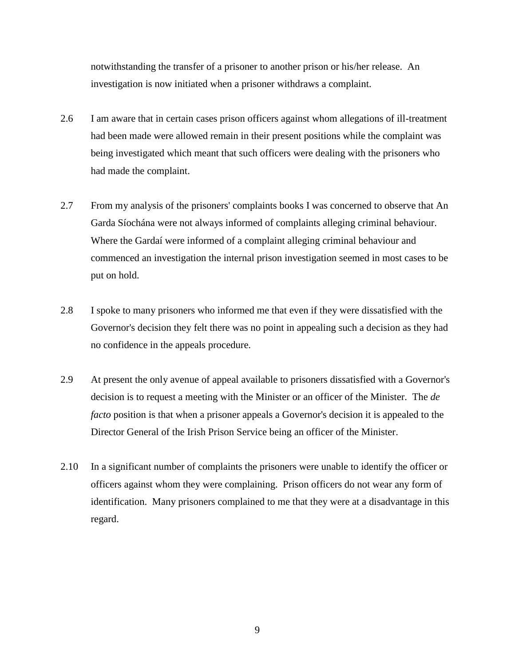notwithstanding the transfer of a prisoner to another prison or his/her release. An investigation is now initiated when a prisoner withdraws a complaint.

- 2.6 I am aware that in certain cases prison officers against whom allegations of ill-treatment had been made were allowed remain in their present positions while the complaint was being investigated which meant that such officers were dealing with the prisoners who had made the complaint.
- 2.7 From my analysis of the prisoners' complaints books I was concerned to observe that An Garda Síochána were not always informed of complaints alleging criminal behaviour. Where the Gardaí were informed of a complaint alleging criminal behaviour and commenced an investigation the internal prison investigation seemed in most cases to be put on hold.
- 2.8 I spoke to many prisoners who informed me that even if they were dissatisfied with the Governor's decision they felt there was no point in appealing such a decision as they had no confidence in the appeals procedure.
- 2.9 At present the only avenue of appeal available to prisoners dissatisfied with a Governor's decision is to request a meeting with the Minister or an officer of the Minister. The *de facto* position is that when a prisoner appeals a Governor's decision it is appealed to the Director General of the Irish Prison Service being an officer of the Minister.
- 2.10 In a significant number of complaints the prisoners were unable to identify the officer or officers against whom they were complaining. Prison officers do not wear any form of identification. Many prisoners complained to me that they were at a disadvantage in this regard.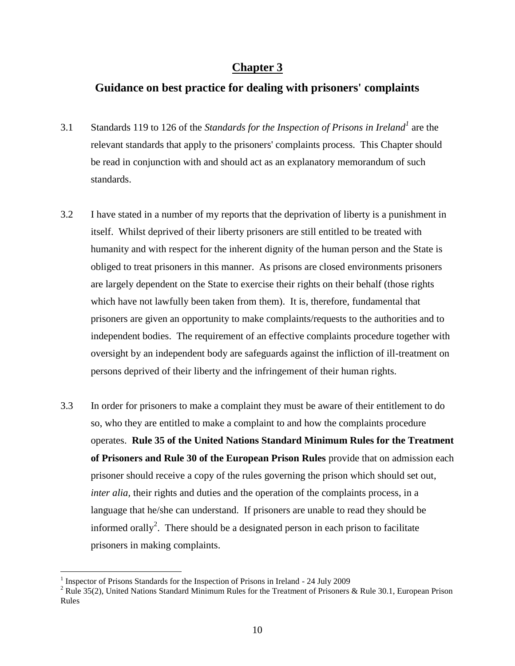# **Chapter 3**

# **Guidance on best practice for dealing with prisoners' complaints**

- 3.1 Standards 119 to 126 of the *Standards for the Inspection of Prisons in Ireland<sup>1</sup>* are the relevant standards that apply to the prisoners' complaints process. This Chapter should be read in conjunction with and should act as an explanatory memorandum of such standards.
- 3.2 I have stated in a number of my reports that the deprivation of liberty is a punishment in itself. Whilst deprived of their liberty prisoners are still entitled to be treated with humanity and with respect for the inherent dignity of the human person and the State is obliged to treat prisoners in this manner. As prisons are closed environments prisoners are largely dependent on the State to exercise their rights on their behalf (those rights which have not lawfully been taken from them). It is, therefore, fundamental that prisoners are given an opportunity to make complaints/requests to the authorities and to independent bodies. The requirement of an effective complaints procedure together with oversight by an independent body are safeguards against the infliction of ill-treatment on persons deprived of their liberty and the infringement of their human rights.
- 3.3 In order for prisoners to make a complaint they must be aware of their entitlement to do so, who they are entitled to make a complaint to and how the complaints procedure operates. **Rule 35 of the United Nations Standard Minimum Rules for the Treatment of Prisoners and Rule 30 of the European Prison Rules** provide that on admission each prisoner should receive a copy of the rules governing the prison which should set out, *inter alia, their rights and duties and the operation of the complaints process, in a* language that he/she can understand. If prisoners are unable to read they should be informed orally<sup>2</sup>. There should be a designated person in each prison to facilitate prisoners in making complaints.

<sup>&</sup>lt;sup>1</sup> Inspector of Prisons Standards for the Inspection of Prisons in Ireland - 24 July 2009

<sup>&</sup>lt;sup>2</sup> Rule 35(2), United Nations Standard Minimum Rules for the Treatment of Prisoners & Rule 30.1, European Prison Rules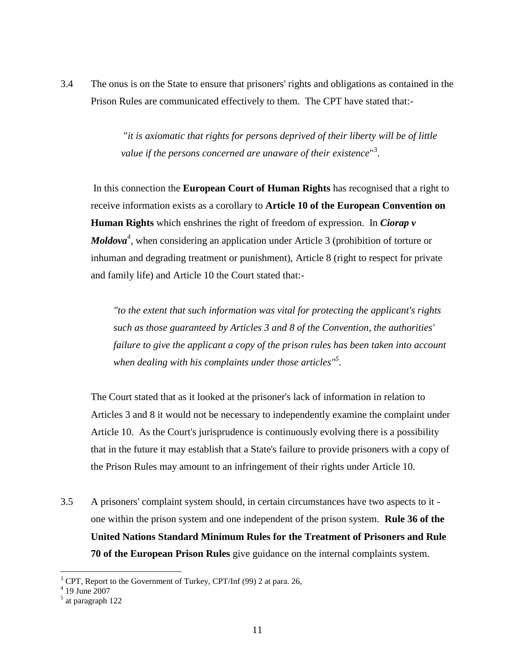3.4 The onus is on the State to ensure that prisoners' rights and obligations as contained in the Prison Rules are communicated effectively to them. The CPT have stated that:-

> "*it is axiomatic that rights for persons deprived of their liberty will be of little value if the persons concerned are unaware of their existence*" 3 .

In this connection the **European Court of Human Rights** has recognised that a right to receive information exists as a corollary to **Article 10 of the European Convention on Human Rights** which enshrines the right of freedom of expression. In *Ciorap v Moldova<sup>4</sup>*, when considering an application under Article 3 (prohibition of torture or inhuman and degrading treatment or punishment), Article 8 (right to respect for private and family life) and Article 10 the Court stated that:-

*"to the extent that such information was vital for protecting the applicant's rights such as those guaranteed by Articles 3 and 8 of the Convention, the authorities' failure to give the applicant a copy of the prison rules has been taken into account when dealing with his complaints under those articles"<sup>5</sup> .*

The Court stated that as it looked at the prisoner's lack of information in relation to Articles 3 and 8 it would not be necessary to independently examine the complaint under Article 10. As the Court's jurisprudence is continuously evolving there is a possibility that in the future it may establish that a State's failure to provide prisoners with a copy of the Prison Rules may amount to an infringement of their rights under Article 10.

3.5 A prisoners' complaint system should, in certain circumstances have two aspects to it one within the prison system and one independent of the prison system. **Rule 36 of the United Nations Standard Minimum Rules for the Treatment of Prisoners and Rule 70 of the European Prison Rules** give guidance on the internal complaints system.

<sup>&</sup>lt;sup>3</sup> CPT, Report to the Government of Turkey, CPT/Inf (99) 2 at para. 26,  $4\,$  19 June 2007

<sup>&</sup>lt;sup>5</sup> at paragraph 122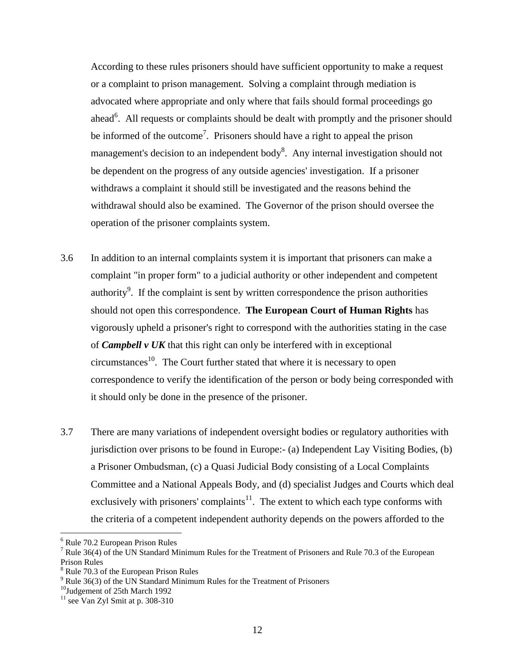According to these rules prisoners should have sufficient opportunity to make a request or a complaint to prison management. Solving a complaint through mediation is advocated where appropriate and only where that fails should formal proceedings go ahead<sup>6</sup>. All requests or complaints should be dealt with promptly and the prisoner should be informed of the outcome<sup>7</sup>. Prisoners should have a right to appeal the prison management's decision to an independent body<sup>8</sup>. Any internal investigation should not be dependent on the progress of any outside agencies' investigation. If a prisoner withdraws a complaint it should still be investigated and the reasons behind the withdrawal should also be examined. The Governor of the prison should oversee the operation of the prisoner complaints system.

- 3.6 In addition to an internal complaints system it is important that prisoners can make a complaint "in proper form" to a judicial authority or other independent and competent authority $\delta$ . If the complaint is sent by written correspondence the prison authorities should not open this correspondence. **The European Court of Human Rights** has vigorously upheld a prisoner's right to correspond with the authorities stating in the case of *Campbell v UK* that this right can only be interfered with in exceptional  $circumstances<sup>10</sup>$ . The Court further stated that where it is necessary to open correspondence to verify the identification of the person or body being corresponded with it should only be done in the presence of the prisoner.
- 3.7 There are many variations of independent oversight bodies or regulatory authorities with jurisdiction over prisons to be found in Europe:- (a) Independent Lay Visiting Bodies, (b) a Prisoner Ombudsman, (c) a Quasi Judicial Body consisting of a Local Complaints Committee and a National Appeals Body, and (d) specialist Judges and Courts which deal exclusively with prisoners' complaints $11$ . The extent to which each type conforms with the criteria of a competent independent authority depends on the powers afforded to the

<sup>6</sup> Rule 70.2 European Prison Rules

<sup>&</sup>lt;sup>7</sup> Rule 36(4) of the UN Standard Minimum Rules for the Treatment of Prisoners and Rule 70.3 of the European Prison Rules

<sup>8</sup> Rule 70.3 of the European Prison Rules

<sup>&</sup>lt;sup>9</sup> Rule 36(3) of the UN Standard Minimum Rules for the Treatment of Prisoners

<sup>&</sup>lt;sup>10</sup>Judgement of 25th March 1992

 $11$  see Van Zyl Smit at p. 308-310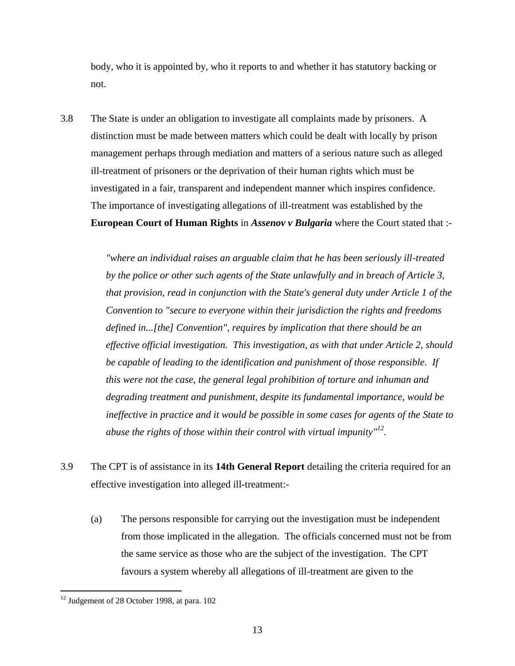body, who it is appointed by, who it reports to and whether it has statutory backing or not.

3.8 The State is under an obligation to investigate all complaints made by prisoners. A distinction must be made between matters which could be dealt with locally by prison management perhaps through mediation and matters of a serious nature such as alleged ill-treatment of prisoners or the deprivation of their human rights which must be investigated in a fair, transparent and independent manner which inspires confidence. The importance of investigating allegations of ill-treatment was established by the **European Court of Human Rights** in *Assenov v Bulgaria* where the Court stated that :-

> *"where an individual raises an arguable claim that he has been seriously ill-treated by the police or other such agents of the State unlawfully and in breach of Article 3, that provision, read in conjunction with the State's general duty under Article 1 of the Convention to "secure to everyone within their jurisdiction the rights and freedoms defined in...[the] Convention", requires by implication that there should be an effective official investigation. This investigation, as with that under Article 2, should be capable of leading to the identification and punishment of those responsible. If this were not the case, the general legal prohibition of torture and inhuman and degrading treatment and punishment, despite its fundamental importance, would be ineffective in practice and it would be possible in some cases for agents of the State to abuse the rights of those within their control with virtual impunity" 12 .*

- 3.9 The CPT is of assistance in its **14th General Report** detailing the criteria required for an effective investigation into alleged ill-treatment:-
	- (a) The persons responsible for carrying out the investigation must be independent from those implicated in the allegation. The officials concerned must not be from the same service as those who are the subject of the investigation. The CPT favours a system whereby all allegations of ill-treatment are given to the

<sup>&</sup>lt;sup>12</sup> Judgement of 28 October 1998, at para. 102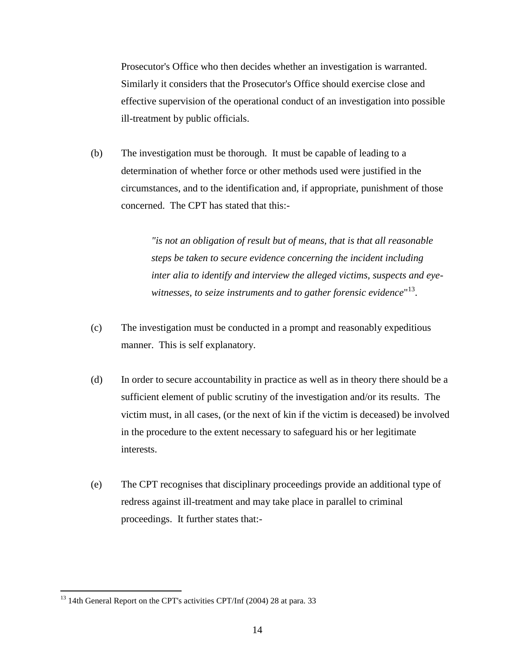Prosecutor's Office who then decides whether an investigation is warranted. Similarly it considers that the Prosecutor's Office should exercise close and effective supervision of the operational conduct of an investigation into possible ill-treatment by public officials.

(b) The investigation must be thorough. It must be capable of leading to a determination of whether force or other methods used were justified in the circumstances, and to the identification and, if appropriate, punishment of those concerned. The CPT has stated that this:-

> *"is not an obligation of result but of means, that is that all reasonable steps be taken to secure evidence concerning the incident including inter alia to identify and interview the alleged victims, suspects and eyewitnesses, to seize instruments and to gather forensic evidence*" 13 .

- (c) The investigation must be conducted in a prompt and reasonably expeditious manner. This is self explanatory.
- (d) In order to secure accountability in practice as well as in theory there should be a sufficient element of public scrutiny of the investigation and/or its results. The victim must, in all cases, (or the next of kin if the victim is deceased) be involved in the procedure to the extent necessary to safeguard his or her legitimate interests.
- (e) The CPT recognises that disciplinary proceedings provide an additional type of redress against ill-treatment and may take place in parallel to criminal proceedings. It further states that:-

<sup>&</sup>lt;sup>13</sup> 14th General Report on the CPT's activities CPT/Inf (2004) 28 at para. 33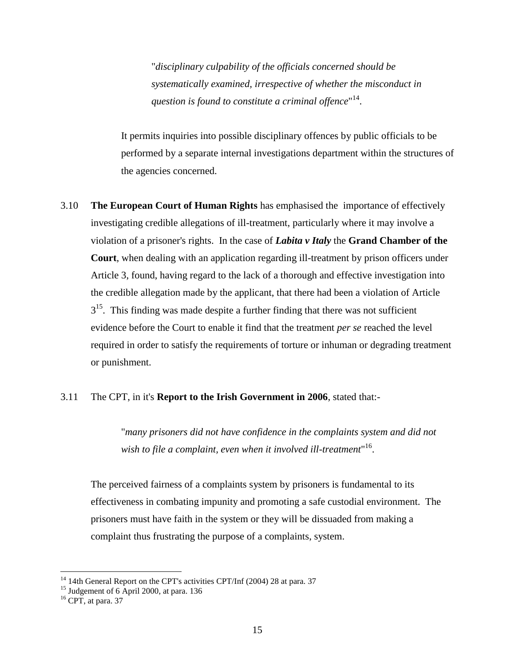"*disciplinary culpability of the officials concerned should be systematically examined, irrespective of whether the misconduct in*  question is found to constitute a criminal offence"<sup>14</sup>.

It permits inquiries into possible disciplinary offences by public officials to be performed by a separate internal investigations department within the structures of the agencies concerned.

3.10 **The European Court of Human Rights** has emphasised the importance of effectively investigating credible allegations of ill-treatment, particularly where it may involve a violation of a prisoner's rights. In the case of *Labita v Italy* the **Grand Chamber of the Court**, when dealing with an application regarding ill-treatment by prison officers under Article 3, found, having regard to the lack of a thorough and effective investigation into the credible allegation made by the applicant, that there had been a violation of Article  $3<sup>15</sup>$ . This finding was made despite a further finding that there was not sufficient evidence before the Court to enable it find that the treatment *per se* reached the level required in order to satisfy the requirements of torture or inhuman or degrading treatment or punishment.

#### 3.11 The CPT, in it's **Report to the Irish Government in 2006**, stated that:-

"*many prisoners did not have confidence in the complaints system and did not wish to file a complaint, even when it involved ill-treatment*" 16 .

The perceived fairness of a complaints system by prisoners is fundamental to its effectiveness in combating impunity and promoting a safe custodial environment. The prisoners must have faith in the system or they will be dissuaded from making a complaint thus frustrating the purpose of a complaints, system.

 $14$  14th General Report on the CPT's activities CPT/Inf (2004) 28 at para. 37

 $15$  Judgement of 6 April 2000, at para. 136

 $16$  CPT, at para. 37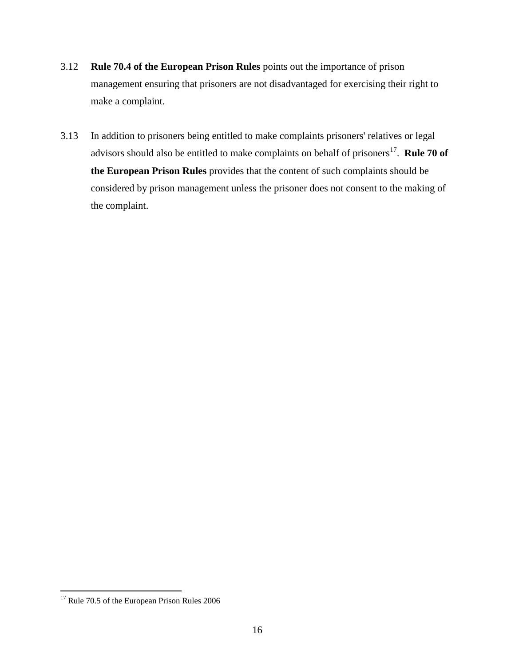- 3.12 **Rule 70.4 of the European Prison Rules** points out the importance of prison management ensuring that prisoners are not disadvantaged for exercising their right to make a complaint.
- 3.13 In addition to prisoners being entitled to make complaints prisoners' relatives or legal advisors should also be entitled to make complaints on behalf of prisoners<sup>17</sup>. **Rule 70 of the European Prison Rules** provides that the content of such complaints should be considered by prison management unless the prisoner does not consent to the making of the complaint.

 $17$  Rule 70.5 of the European Prison Rules 2006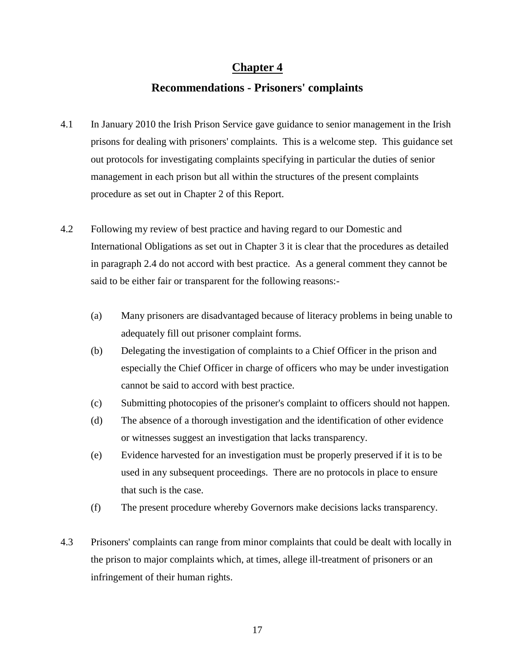# **Chapter 4**

# **Recommendations - Prisoners' complaints**

- 4.1 In January 2010 the Irish Prison Service gave guidance to senior management in the Irish prisons for dealing with prisoners' complaints. This is a welcome step. This guidance set out protocols for investigating complaints specifying in particular the duties of senior management in each prison but all within the structures of the present complaints procedure as set out in Chapter 2 of this Report.
- 4.2 Following my review of best practice and having regard to our Domestic and International Obligations as set out in Chapter 3 it is clear that the procedures as detailed in paragraph 2.4 do not accord with best practice. As a general comment they cannot be said to be either fair or transparent for the following reasons:-
	- (a) Many prisoners are disadvantaged because of literacy problems in being unable to adequately fill out prisoner complaint forms.
	- (b) Delegating the investigation of complaints to a Chief Officer in the prison and especially the Chief Officer in charge of officers who may be under investigation cannot be said to accord with best practice.
	- (c) Submitting photocopies of the prisoner's complaint to officers should not happen.
	- (d) The absence of a thorough investigation and the identification of other evidence or witnesses suggest an investigation that lacks transparency.
	- (e) Evidence harvested for an investigation must be properly preserved if it is to be used in any subsequent proceedings. There are no protocols in place to ensure that such is the case.
	- (f) The present procedure whereby Governors make decisions lacks transparency.
- 4.3 Prisoners' complaints can range from minor complaints that could be dealt with locally in the prison to major complaints which, at times, allege ill-treatment of prisoners or an infringement of their human rights.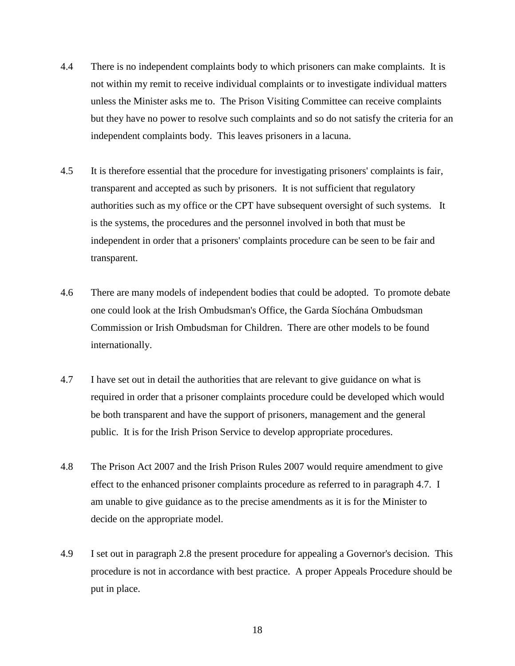- 4.4 There is no independent complaints body to which prisoners can make complaints. It is not within my remit to receive individual complaints or to investigate individual matters unless the Minister asks me to. The Prison Visiting Committee can receive complaints but they have no power to resolve such complaints and so do not satisfy the criteria for an independent complaints body. This leaves prisoners in a lacuna.
- 4.5 It is therefore essential that the procedure for investigating prisoners' complaints is fair, transparent and accepted as such by prisoners. It is not sufficient that regulatory authorities such as my office or the CPT have subsequent oversight of such systems. It is the systems, the procedures and the personnel involved in both that must be independent in order that a prisoners' complaints procedure can be seen to be fair and transparent.
- 4.6 There are many models of independent bodies that could be adopted. To promote debate one could look at the Irish Ombudsman's Office, the Garda Síochána Ombudsman Commission or Irish Ombudsman for Children. There are other models to be found internationally.
- 4.7 I have set out in detail the authorities that are relevant to give guidance on what is required in order that a prisoner complaints procedure could be developed which would be both transparent and have the support of prisoners, management and the general public. It is for the Irish Prison Service to develop appropriate procedures.
- 4.8 The Prison Act 2007 and the Irish Prison Rules 2007 would require amendment to give effect to the enhanced prisoner complaints procedure as referred to in paragraph 4.7. I am unable to give guidance as to the precise amendments as it is for the Minister to decide on the appropriate model.
- 4.9 I set out in paragraph 2.8 the present procedure for appealing a Governor's decision. This procedure is not in accordance with best practice. A proper Appeals Procedure should be put in place.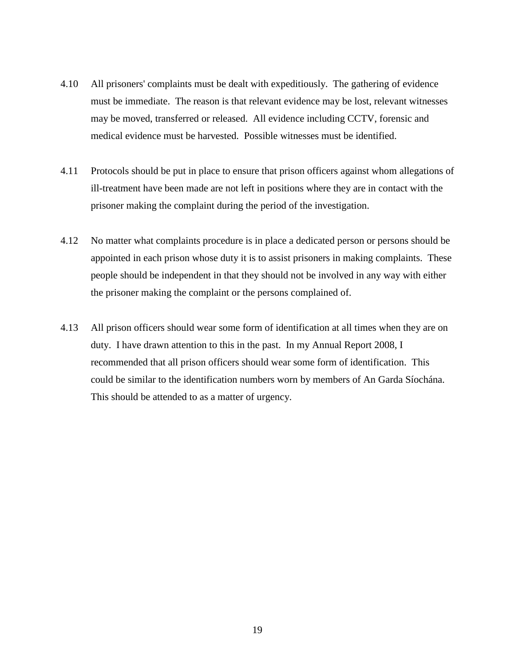- 4.10 All prisoners' complaints must be dealt with expeditiously. The gathering of evidence must be immediate. The reason is that relevant evidence may be lost, relevant witnesses may be moved, transferred or released. All evidence including CCTV, forensic and medical evidence must be harvested. Possible witnesses must be identified.
- 4.11 Protocols should be put in place to ensure that prison officers against whom allegations of ill-treatment have been made are not left in positions where they are in contact with the prisoner making the complaint during the period of the investigation.
- 4.12 No matter what complaints procedure is in place a dedicated person or persons should be appointed in each prison whose duty it is to assist prisoners in making complaints. These people should be independent in that they should not be involved in any way with either the prisoner making the complaint or the persons complained of.
- 4.13 All prison officers should wear some form of identification at all times when they are on duty. I have drawn attention to this in the past. In my Annual Report 2008, I recommended that all prison officers should wear some form of identification. This could be similar to the identification numbers worn by members of An Garda Síochána. This should be attended to as a matter of urgency.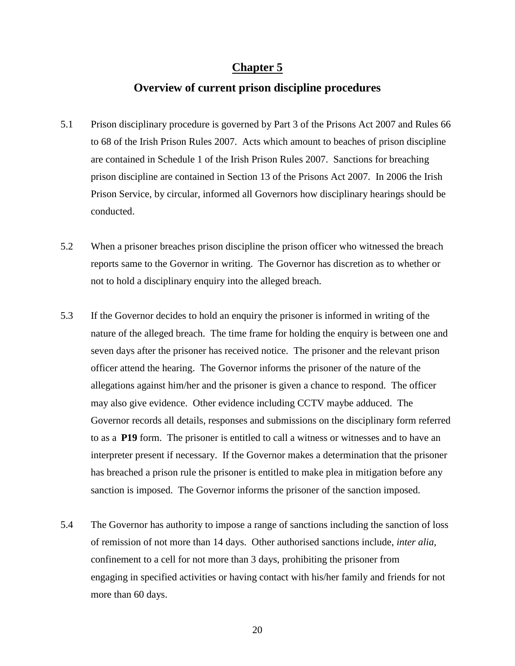## **Chapter 5**

#### **Overview of current prison discipline procedures**

- 5.1 Prison disciplinary procedure is governed by Part 3 of the Prisons Act 2007 and Rules 66 to 68 of the Irish Prison Rules 2007. Acts which amount to beaches of prison discipline are contained in Schedule 1 of the Irish Prison Rules 2007. Sanctions for breaching prison discipline are contained in Section 13 of the Prisons Act 2007. In 2006 the Irish Prison Service, by circular, informed all Governors how disciplinary hearings should be conducted.
- 5.2 When a prisoner breaches prison discipline the prison officer who witnessed the breach reports same to the Governor in writing. The Governor has discretion as to whether or not to hold a disciplinary enquiry into the alleged breach.
- 5.3 If the Governor decides to hold an enquiry the prisoner is informed in writing of the nature of the alleged breach. The time frame for holding the enquiry is between one and seven days after the prisoner has received notice. The prisoner and the relevant prison officer attend the hearing. The Governor informs the prisoner of the nature of the allegations against him/her and the prisoner is given a chance to respond. The officer may also give evidence. Other evidence including CCTV maybe adduced. The Governor records all details, responses and submissions on the disciplinary form referred to as a **P19** form. The prisoner is entitled to call a witness or witnesses and to have an interpreter present if necessary. If the Governor makes a determination that the prisoner has breached a prison rule the prisoner is entitled to make plea in mitigation before any sanction is imposed. The Governor informs the prisoner of the sanction imposed.
- 5.4 The Governor has authority to impose a range of sanctions including the sanction of loss of remission of not more than 14 days. Other authorised sanctions include, *inter alia,* confinement to a cell for not more than 3 days, prohibiting the prisoner from engaging in specified activities or having contact with his/her family and friends for not more than 60 days.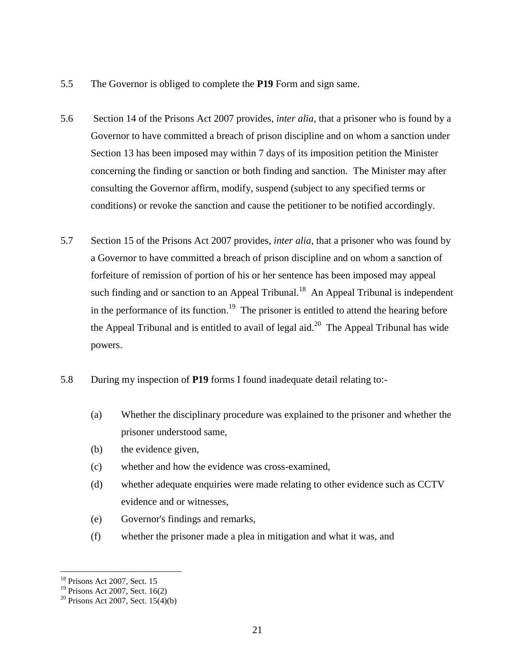- 5.5 The Governor is obliged to complete the **P19** Form and sign same.
- 5.6 Section 14 of the Prisons Act 2007 provides, *inter alia,* that a prisoner who is found by a Governor to have committed a breach of prison discipline and on whom a sanction under Section 13 has been imposed may within 7 days of its imposition petition the Minister concerning the finding or sanction or both finding and sanction. The Minister may after consulting the Governor affirm, modify, suspend (subject to any specified terms or conditions) or revoke the sanction and cause the petitioner to be notified accordingly.
- 5.7 Section 15 of the Prisons Act 2007 provides, *inter alia,* that a prisoner who was found by a Governor to have committed a breach of prison discipline and on whom a sanction of forfeiture of remission of portion of his or her sentence has been imposed may appeal such finding and or sanction to an Appeal Tribunal.<sup>18</sup> An Appeal Tribunal is independent in the performance of its function.<sup>19</sup> The prisoner is entitled to attend the hearing before the Appeal Tribunal and is entitled to avail of legal aid.<sup>20</sup> The Appeal Tribunal has wide powers.
- 5.8 During my inspection of **P19** forms I found inadequate detail relating to:-
	- (a) Whether the disciplinary procedure was explained to the prisoner and whether the prisoner understood same,
	- (b) the evidence given,
	- (c) whether and how the evidence was cross-examined,
	- (d) whether adequate enquiries were made relating to other evidence such as CCTV evidence and or witnesses,
	- (e) Governor's findings and remarks,
	- (f) whether the prisoner made a plea in mitigation and what it was, and

 $\overline{a}$ <sup>18</sup> Prisons Act 2007, Sect. 15

 $19$  Prisons Act 2007, Sect. 16(2)

<sup>&</sup>lt;sup>20</sup> Prisons Act 2007, Sect.  $15(4)(b)$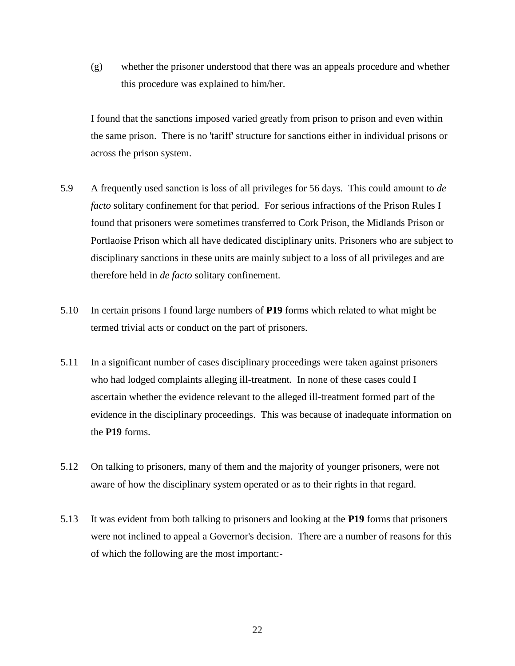(g) whether the prisoner understood that there was an appeals procedure and whether this procedure was explained to him/her.

I found that the sanctions imposed varied greatly from prison to prison and even within the same prison. There is no 'tariff' structure for sanctions either in individual prisons or across the prison system.

- 5.9 A frequently used sanction is loss of all privileges for 56 days. This could amount to *de facto* solitary confinement for that period. For serious infractions of the Prison Rules I found that prisoners were sometimes transferred to Cork Prison, the Midlands Prison or Portlaoise Prison which all have dedicated disciplinary units. Prisoners who are subject to disciplinary sanctions in these units are mainly subject to a loss of all privileges and are therefore held in *de facto* solitary confinement.
- 5.10 In certain prisons I found large numbers of **P19** forms which related to what might be termed trivial acts or conduct on the part of prisoners.
- 5.11 In a significant number of cases disciplinary proceedings were taken against prisoners who had lodged complaints alleging ill-treatment. In none of these cases could I ascertain whether the evidence relevant to the alleged ill-treatment formed part of the evidence in the disciplinary proceedings. This was because of inadequate information on the **P19** forms.
- 5.12 On talking to prisoners, many of them and the majority of younger prisoners, were not aware of how the disciplinary system operated or as to their rights in that regard.
- 5.13 It was evident from both talking to prisoners and looking at the **P19** forms that prisoners were not inclined to appeal a Governor's decision. There are a number of reasons for this of which the following are the most important:-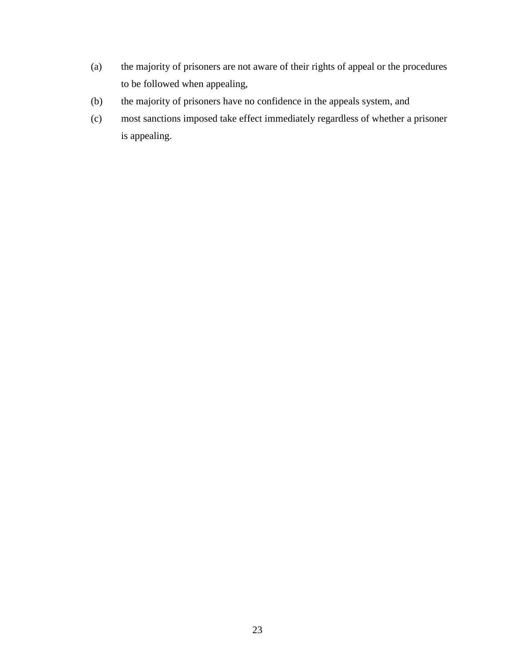- (a) the majority of prisoners are not aware of their rights of appeal or the procedures to be followed when appealing,
- (b) the majority of prisoners have no confidence in the appeals system, and
- (c) most sanctions imposed take effect immediately regardless of whether a prisoner is appealing.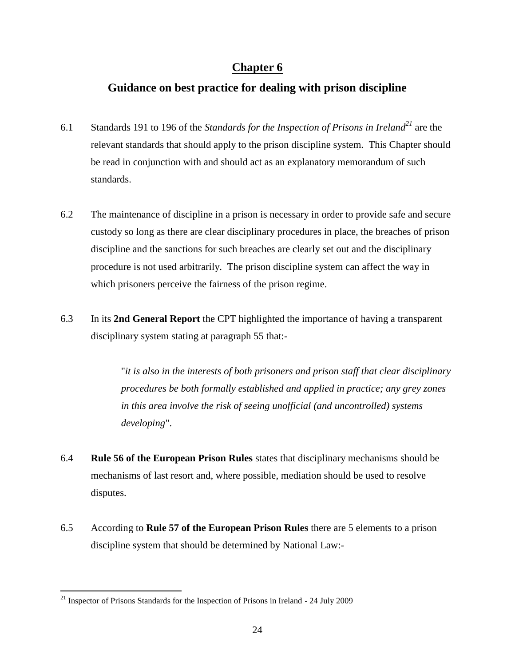# **Chapter 6**

# **Guidance on best practice for dealing with prison discipline**

- 6.1 Standards 191 to 196 of the *Standards for the Inspection of Prisons in Ireland<sup>21</sup>* are the relevant standards that should apply to the prison discipline system. This Chapter should be read in conjunction with and should act as an explanatory memorandum of such standards.
- 6.2 The maintenance of discipline in a prison is necessary in order to provide safe and secure custody so long as there are clear disciplinary procedures in place, the breaches of prison discipline and the sanctions for such breaches are clearly set out and the disciplinary procedure is not used arbitrarily. The prison discipline system can affect the way in which prisoners perceive the fairness of the prison regime.
- 6.3 In its **2nd General Report** the CPT highlighted the importance of having a transparent disciplinary system stating at paragraph 55 that:-

"*it is also in the interests of both prisoners and prison staff that clear disciplinary procedures be both formally established and applied in practice; any grey zones in this area involve the risk of seeing unofficial (and uncontrolled) systems developing*".

- 6.4 **Rule 56 of the European Prison Rules** states that disciplinary mechanisms should be mechanisms of last resort and, where possible, mediation should be used to resolve disputes.
- 6.5 According to **Rule 57 of the European Prison Rules** there are 5 elements to a prison discipline system that should be determined by National Law:-

 $21$  Inspector of Prisons Standards for the Inspection of Prisons in Ireland - 24 July 2009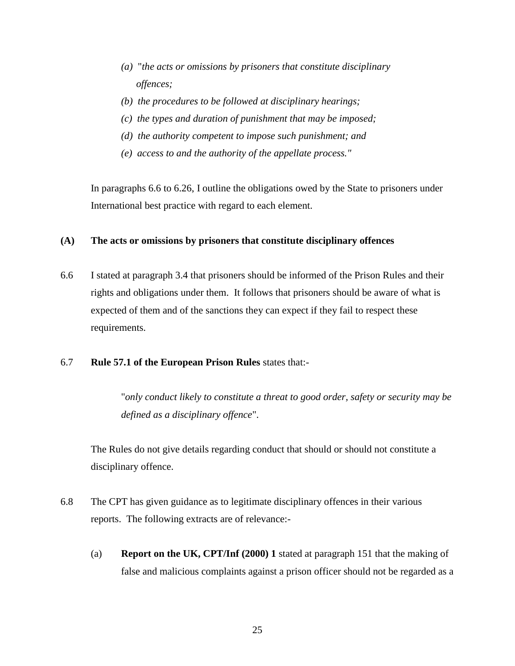- *(a)* "*the acts or omissions by prisoners that constitute disciplinary offences;*
- *(b) the procedures to be followed at disciplinary hearings;*
- *(c) the types and duration of punishment that may be imposed;*
- *(d) the authority competent to impose such punishment; and*
- *(e) access to and the authority of the appellate process."*

In paragraphs 6.6 to 6.26, I outline the obligations owed by the State to prisoners under International best practice with regard to each element.

#### **(A) The acts or omissions by prisoners that constitute disciplinary offences**

6.6 I stated at paragraph 3.4 that prisoners should be informed of the Prison Rules and their rights and obligations under them. It follows that prisoners should be aware of what is expected of them and of the sanctions they can expect if they fail to respect these requirements.

#### 6.7 **Rule 57.1 of the European Prison Rules** states that:-

"*only conduct likely to constitute a threat to good order, safety or security may be defined as a disciplinary offence*".

The Rules do not give details regarding conduct that should or should not constitute a disciplinary offence.

- 6.8 The CPT has given guidance as to legitimate disciplinary offences in their various reports. The following extracts are of relevance:-
	- (a) **Report on the UK, CPT/Inf (2000) 1** stated at paragraph 151 that the making of false and malicious complaints against a prison officer should not be regarded as a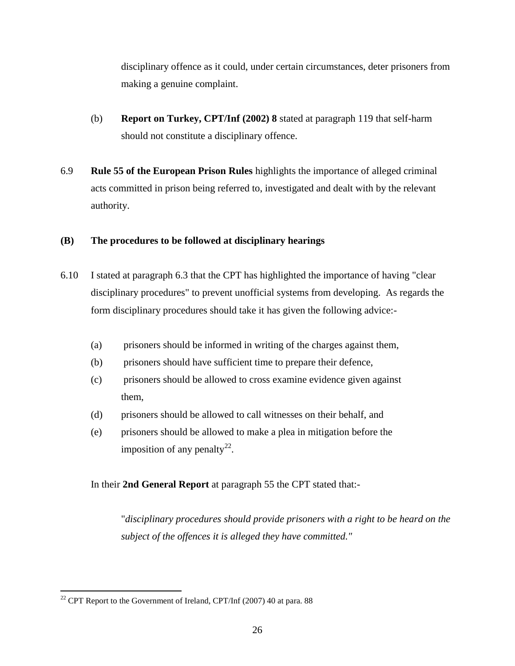disciplinary offence as it could, under certain circumstances, deter prisoners from making a genuine complaint.

- (b) **Report on Turkey, CPT/Inf (2002) 8** stated at paragraph 119 that self-harm should not constitute a disciplinary offence.
- 6.9 **Rule 55 of the European Prison Rules** highlights the importance of alleged criminal acts committed in prison being referred to, investigated and dealt with by the relevant authority.

#### **(B) The procedures to be followed at disciplinary hearings**

- 6.10 I stated at paragraph 6.3 that the CPT has highlighted the importance of having "clear disciplinary procedures" to prevent unofficial systems from developing. As regards the form disciplinary procedures should take it has given the following advice:-
	- (a) prisoners should be informed in writing of the charges against them,
	- (b) prisoners should have sufficient time to prepare their defence,
	- (c) prisoners should be allowed to cross examine evidence given against them,
	- (d) prisoners should be allowed to call witnesses on their behalf, and
	- (e) prisoners should be allowed to make a plea in mitigation before the imposition of any penalty<sup>22</sup>.

In their **2nd General Report** at paragraph 55 the CPT stated that:-

"*disciplinary procedures should provide prisoners with a right to be heard on the subject of the offences it is alleged they have committed."* 

 $\overline{a}$ <sup>22</sup> CPT Report to the Government of Ireland, CPT/Inf (2007) 40 at para. 88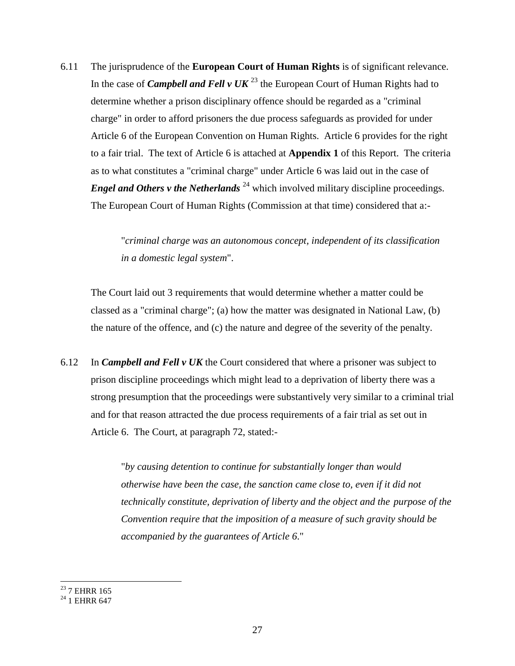6.11 The jurisprudence of the **European Court of Human Rights** is of significant relevance. In the case of *Campbell and Fell v UK*<sup>23</sup> the European Court of Human Rights had to determine whether a prison disciplinary offence should be regarded as a "criminal charge" in order to afford prisoners the due process safeguards as provided for under Article 6 of the European Convention on Human Rights. Article 6 provides for the right to a fair trial. The text of Article 6 is attached at **Appendix 1** of this Report. The criteria as to what constitutes a "criminal charge" under Article 6 was laid out in the case of *Engel and Others v the Netherlands*<sup>24</sup> which involved military discipline proceedings. The European Court of Human Rights (Commission at that time) considered that a:-

> "*criminal charge was an autonomous concept, independent of its classification in a domestic legal system*".

The Court laid out 3 requirements that would determine whether a matter could be classed as a "criminal charge"; (a) how the matter was designated in National Law, (b) the nature of the offence, and (c) the nature and degree of the severity of the penalty.

6.12 In *Campbell and Fell v UK* the Court considered that where a prisoner was subject to prison discipline proceedings which might lead to a deprivation of liberty there was a strong presumption that the proceedings were substantively very similar to a criminal trial and for that reason attracted the due process requirements of a fair trial as set out in Article 6. The Court, at paragraph 72, stated:-

> "*by causing detention to continue for substantially longer than would otherwise have been the case, the sanction came close to, even if it did not technically constitute, deprivation of liberty and the object and the purpose of the Convention require that the imposition of a measure of such gravity should be accompanied by the guarantees of Article 6*."

 $^{23}$  7 EHRR 165

 $^{24}$  1 EHRR 647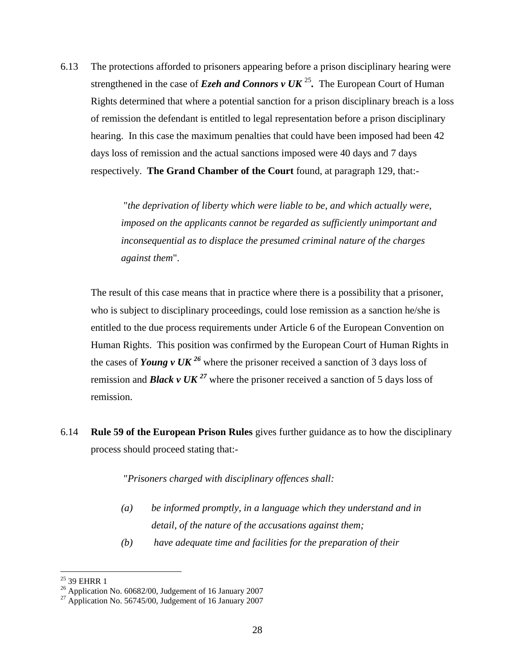6.13 The protections afforded to prisoners appearing before a prison disciplinary hearing were strengthened in the case of *Ezeh and Connors v UK*<sup>25</sup>. The European Court of Human Rights determined that where a potential sanction for a prison disciplinary breach is a loss of remission the defendant is entitled to legal representation before a prison disciplinary hearing. In this case the maximum penalties that could have been imposed had been 42 days loss of remission and the actual sanctions imposed were 40 days and 7 days respectively. **The Grand Chamber of the Court** found, at paragraph 129, that:-

> "*the deprivation of liberty which were liable to be, and which actually were, imposed on the applicants cannot be regarded as sufficiently unimportant and inconsequential as to displace the presumed criminal nature of the charges against them*".

The result of this case means that in practice where there is a possibility that a prisoner, who is subject to disciplinary proceedings, could lose remission as a sanction he/she is entitled to the due process requirements under Article 6 of the European Convention on Human Rights. This position was confirmed by the European Court of Human Rights in the cases of *Young v UK* <sup>26</sup> where the prisoner received a sanction of 3 days loss of remission and **Black v UK**<sup>27</sup> where the prisoner received a sanction of 5 days loss of remission.

6.14 **Rule 59 of the European Prison Rules** gives further guidance as to how the disciplinary process should proceed stating that:-

"*Prisoners charged with disciplinary offences shall:*

- *(a) be informed promptly, in a language which they understand and in detail, of the nature of the accusations against them;*
- *(b) have adequate time and facilities for the preparation of their*

 $\overline{a}$  $25$  39 EHRR 1

<sup>&</sup>lt;sup>26</sup> Application No.  $60682/00$ , Judgement of 16 January 2007

 $^{27}$  Application No. 56745/00, Judgement of 16 January 2007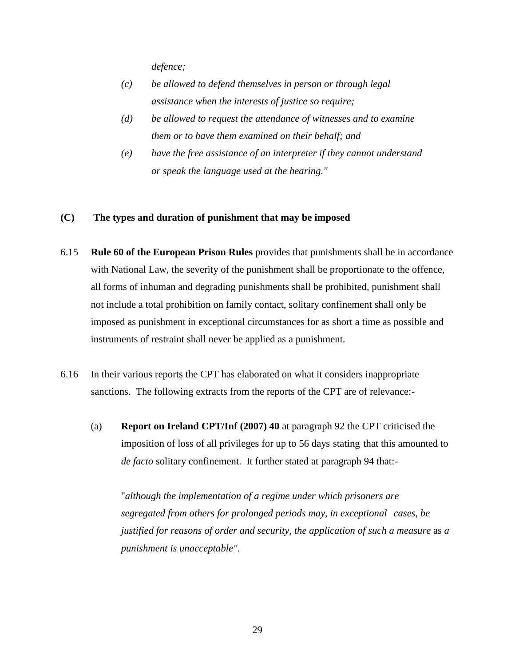*defence;*

- *(c) be allowed to defend themselves in person or through legal assistance when the interests of justice so require;*
- *(d) be allowed to request the attendance of witnesses and to examine them or to have them examined on their behalf; and*
- *(e) have the free assistance of an interpreter if they cannot understand or speak the language used at the hearing."*

#### **(C) The types and duration of punishment that may be imposed**

- 6.15 **Rule 60 of the European Prison Rules** provides that punishments shall be in accordance with National Law, the severity of the punishment shall be proportionate to the offence, all forms of inhuman and degrading punishments shall be prohibited, punishment shall not include a total prohibition on family contact, solitary confinement shall only be imposed as punishment in exceptional circumstances for as short a time as possible and instruments of restraint shall never be applied as a punishment.
- 6.16 In their various reports the CPT has elaborated on what it considers inappropriate sanctions. The following extracts from the reports of the CPT are of relevance:-
	- (a) **Report on Ireland CPT/Inf (2007) 40** at paragraph 92 the CPT criticised the imposition of loss of all privileges for up to 56 days stating that this amounted to *de facto* solitary confinement. It further stated at paragraph 94 that:-

"*although the implementation of a regime under which prisoners are segregated from others for prolonged periods may, in exceptional cases, be justified for reasons of order and security, the application of such a measure* as *a punishment is unacceptable".*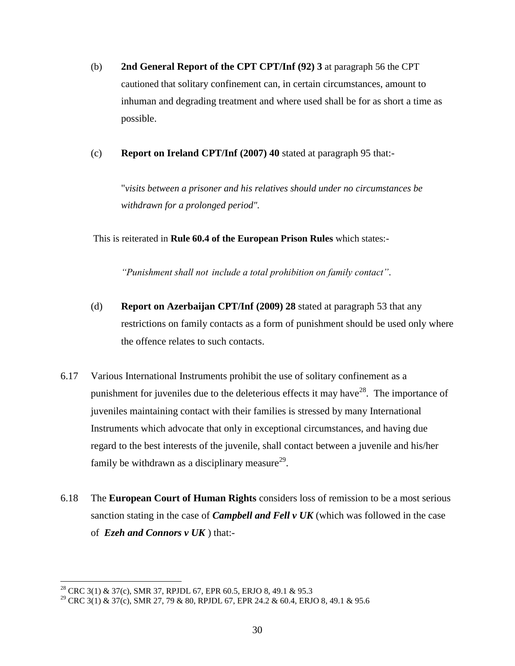- (b) **2nd General Report of the CPT CPT/Inf (92) 3** at paragraph 56 the CPT cautioned that solitary confinement can, in certain circumstances, amount to inhuman and degrading treatment and where used shall be for as short a time as possible.
- (c) **Report on Ireland CPT/Inf (2007) 40** stated at paragraph 95 that:-

"*visits between a prisoner and his relatives should under no circumstances be withdrawn for a prolonged period".*

This is reiterated in **Rule 60.4 of the European Prison Rules** which states:-

*"Punishment shall not include a total prohibition on family contact"*.

- (d) **Report on Azerbaijan CPT/Inf (2009) 28** stated at paragraph 53 that any restrictions on family contacts as a form of punishment should be used only where the offence relates to such contacts.
- 6.17 Various International Instruments prohibit the use of solitary confinement as a punishment for juveniles due to the deleterious effects it may have  $28$ . The importance of juveniles maintaining contact with their families is stressed by many International Instruments which advocate that only in exceptional circumstances, and having due regard to the best interests of the juvenile, shall contact between a juvenile and his/her family be withdrawn as a disciplinary measure<sup>29</sup>.
- 6.18 The **European Court of Human Rights** considers loss of remission to be a most serious sanction stating in the case of *Campbell and Fell v UK* (which was followed in the case of *Ezeh and Connors v UK* ) that:-

 $\overline{a}$ <sup>28</sup> CRC 3(1) & 37(c), SMR 37, RPJDL 67, EPR 60.5, ERJO 8, 49.1 & 95.3

<sup>29</sup> CRC 3(1) & 37(c), SMR 27, 79 & 80, RPJDL 67, EPR 24.2 & 60.4, ERJO 8, 49.1 & 95.6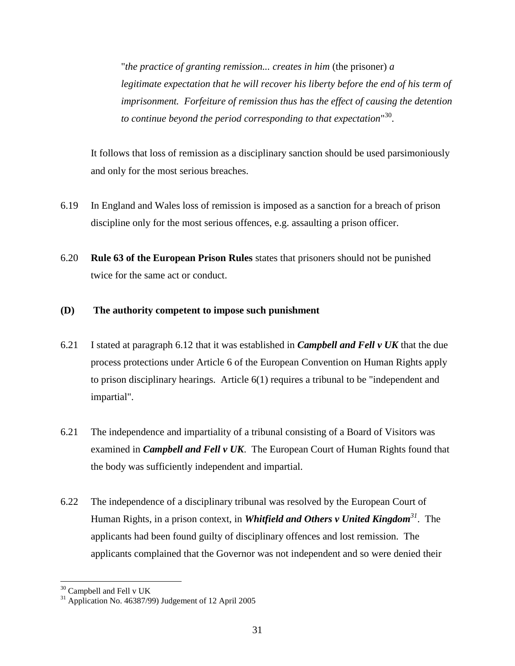"*the practice of granting remission... creates in him* (the prisoner) *a legitimate expectation that he will recover his liberty before the end of his term of imprisonment. Forfeiture of remission thus has the effect of causing the detention to continue beyond the period corresponding to that expectation*" 30 .

It follows that loss of remission as a disciplinary sanction should be used parsimoniously and only for the most serious breaches.

- 6.19 In England and Wales loss of remission is imposed as a sanction for a breach of prison discipline only for the most serious offences, e.g. assaulting a prison officer.
- 6.20 **Rule 63 of the European Prison Rules** states that prisoners should not be punished twice for the same act or conduct.

### **(D) The authority competent to impose such punishment**

- 6.21 I stated at paragraph 6.12 that it was established in *Campbell and Fell v UK* that the due process protections under Article 6 of the European Convention on Human Rights apply to prison disciplinary hearings. Article 6(1) requires a tribunal to be "independent and impartial".
- 6.21 The independence and impartiality of a tribunal consisting of a Board of Visitors was examined in *Campbell and Fell v UK*. The European Court of Human Rights found that the body was sufficiently independent and impartial.
- 6.22 The independence of a disciplinary tribunal was resolved by the European Court of Human Rights, in a prison context, in *Whitfield and Others v United Kingdom<sup>31</sup>*. The applicants had been found guilty of disciplinary offences and lost remission. The applicants complained that the Governor was not independent and so were denied their

 $\overline{a}$  $30$  Campbell and Fell v UK

 $31$  Application No. 46387/99) Judgement of 12 April 2005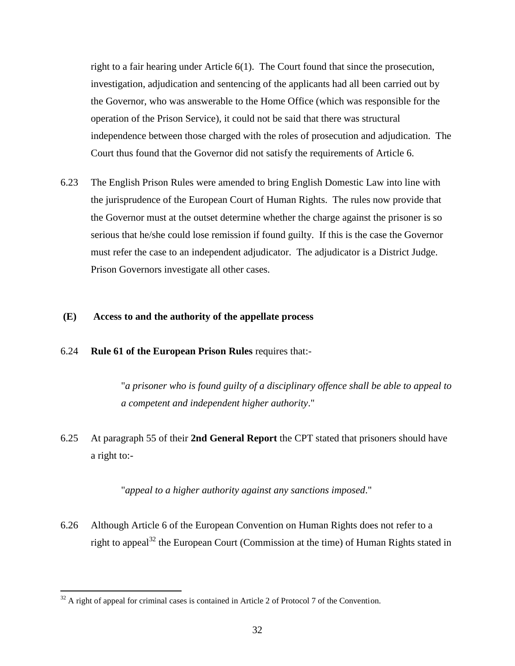right to a fair hearing under Article 6(1). The Court found that since the prosecution, investigation, adjudication and sentencing of the applicants had all been carried out by the Governor, who was answerable to the Home Office (which was responsible for the operation of the Prison Service), it could not be said that there was structural independence between those charged with the roles of prosecution and adjudication. The Court thus found that the Governor did not satisfy the requirements of Article 6.

6.23 The English Prison Rules were amended to bring English Domestic Law into line with the jurisprudence of the European Court of Human Rights. The rules now provide that the Governor must at the outset determine whether the charge against the prisoner is so serious that he/she could lose remission if found guilty. If this is the case the Governor must refer the case to an independent adjudicator. The adjudicator is a District Judge. Prison Governors investigate all other cases.

#### **(E) Access to and the authority of the appellate process**

#### 6.24 **Rule 61 of the European Prison Rules** requires that:-

"*a prisoner who is found guilty of a disciplinary offence shall be able to appeal to a competent and independent higher authority*."

6.25 At paragraph 55 of their **2nd General Report** the CPT stated that prisoners should have a right to:-

"*appeal to a higher authority against any sanctions imposed*."

6.26 Although Article 6 of the European Convention on Human Rights does not refer to a right to appeal<sup>32</sup> the European Court (Commission at the time) of Human Rights stated in

 $32$  A right of appeal for criminal cases is contained in Article 2 of Protocol 7 of the Convention.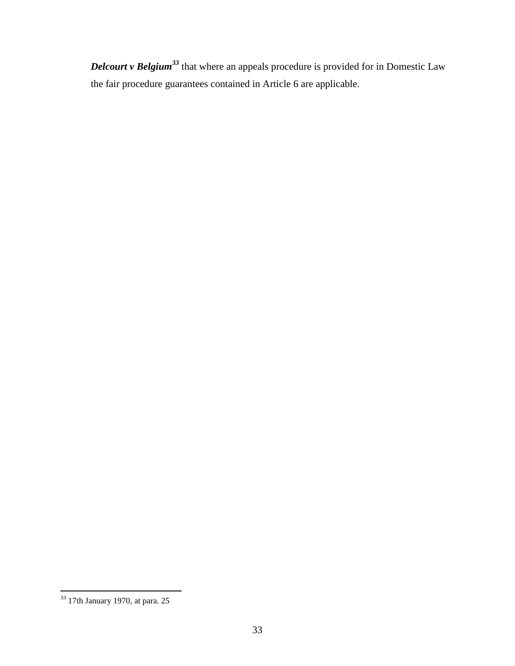*Delcourt v Belgium<sup>33</sup>* that where an appeals procedure is provided for in Domestic Law the fair procedure guarantees contained in Article 6 are applicable.

 $\overline{a}$  $33$  17th January 1970, at para. 25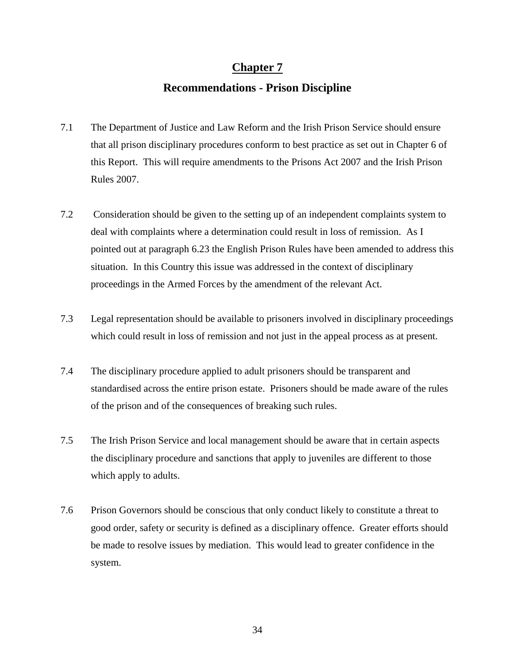# **Chapter 7**

# **Recommendations - Prison Discipline**

- 7.1 The Department of Justice and Law Reform and the Irish Prison Service should ensure that all prison disciplinary procedures conform to best practice as set out in Chapter 6 of this Report. This will require amendments to the Prisons Act 2007 and the Irish Prison Rules 2007.
- 7.2 Consideration should be given to the setting up of an independent complaints system to deal with complaints where a determination could result in loss of remission. As I pointed out at paragraph 6.23 the English Prison Rules have been amended to address this situation. In this Country this issue was addressed in the context of disciplinary proceedings in the Armed Forces by the amendment of the relevant Act.
- 7.3 Legal representation should be available to prisoners involved in disciplinary proceedings which could result in loss of remission and not just in the appeal process as at present.
- 7.4 The disciplinary procedure applied to adult prisoners should be transparent and standardised across the entire prison estate. Prisoners should be made aware of the rules of the prison and of the consequences of breaking such rules.
- 7.5 The Irish Prison Service and local management should be aware that in certain aspects the disciplinary procedure and sanctions that apply to juveniles are different to those which apply to adults.
- 7.6 Prison Governors should be conscious that only conduct likely to constitute a threat to good order, safety or security is defined as a disciplinary offence. Greater efforts should be made to resolve issues by mediation. This would lead to greater confidence in the system.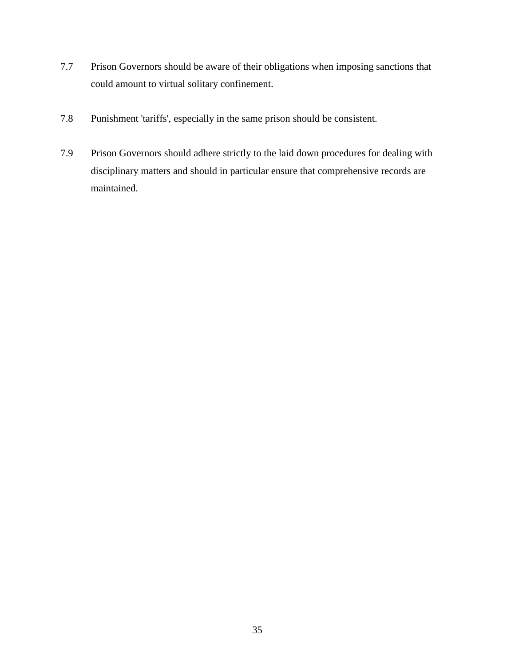- 7.7 Prison Governors should be aware of their obligations when imposing sanctions that could amount to virtual solitary confinement.
- 7.8 Punishment 'tariffs', especially in the same prison should be consistent.
- 7.9 Prison Governors should adhere strictly to the laid down procedures for dealing with disciplinary matters and should in particular ensure that comprehensive records are maintained.